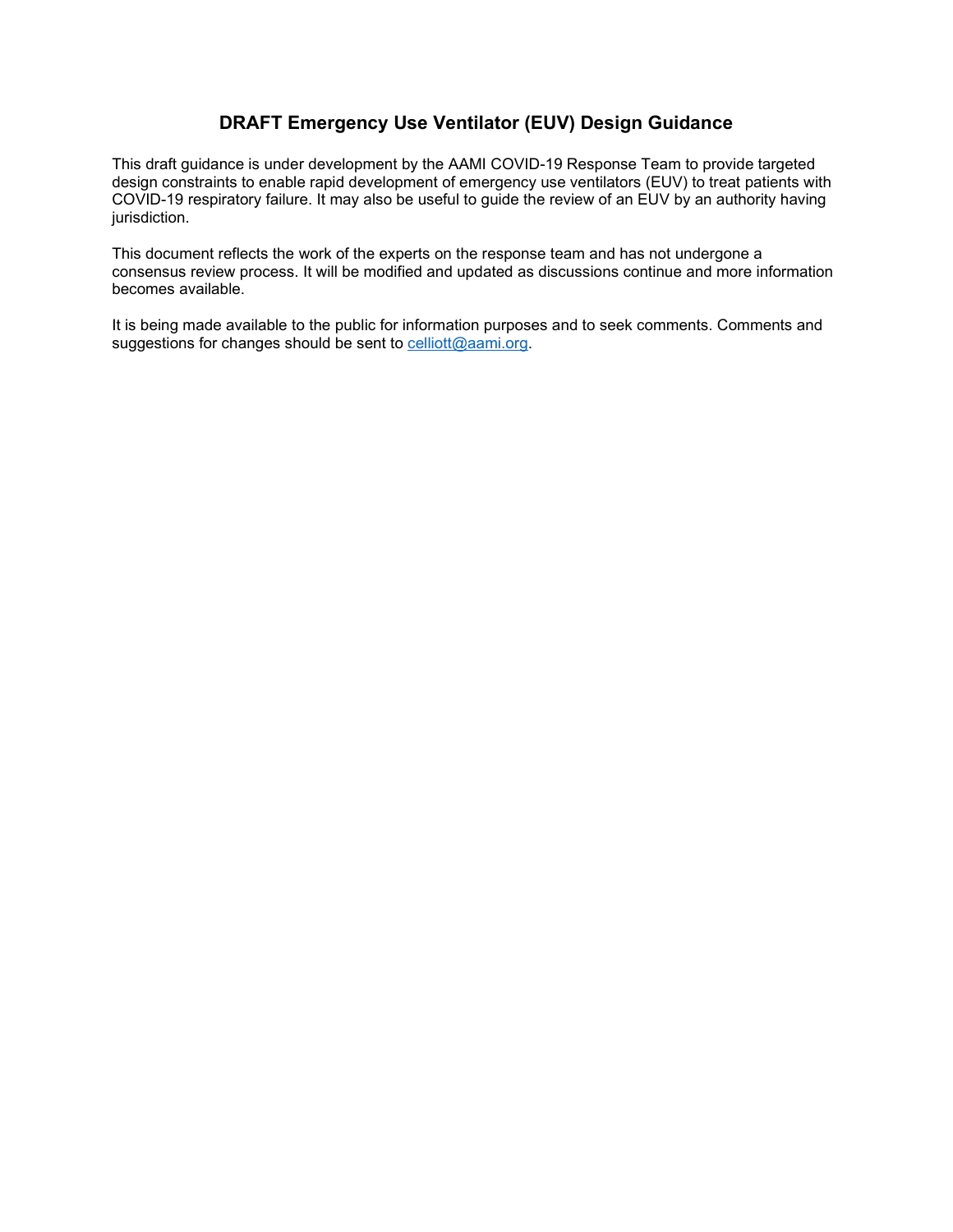#### **DRAFT Emergency Use Ventilator (EUV) Design Guidance**

This draft guidance is under development by the AAMI COVID-19 Response Team to provide targeted design constraints to enable rapid development of emergency use ventilators (EUV) to treat patients with COVID-19 respiratory failure. It may also be useful to guide the review of an EUV by an authority having jurisdiction.

This document reflects the work of the experts on the response team and has not undergone a consensus review process. It will be modified and updated as discussions continue and more information becomes available.

It is being made available to the public for information purposes and to seek comments. Comments and suggestions for changes should be sent to [celliott@aami.org.](mailto:celliott@aami.org)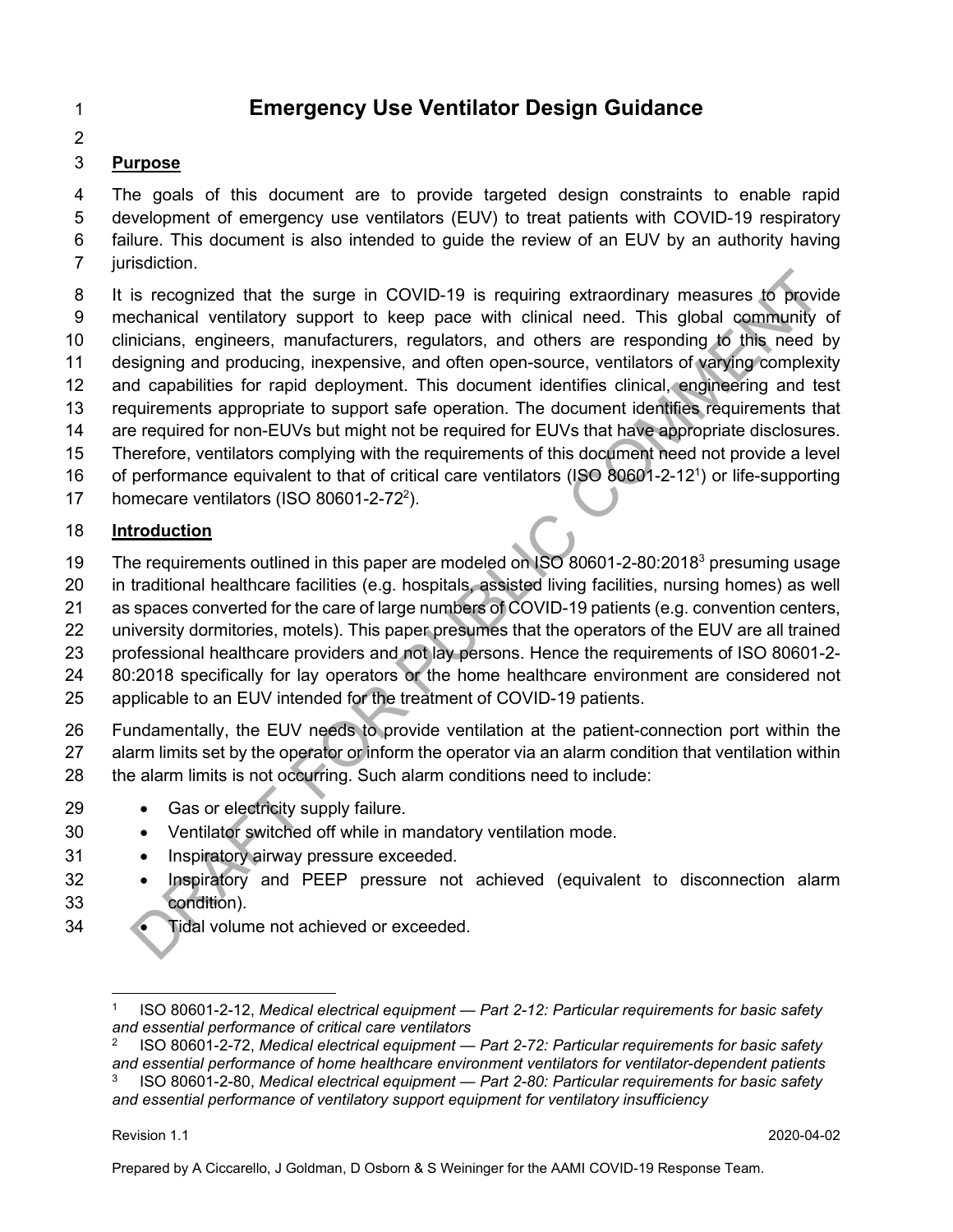# 1 **Emergency Use Ventilator Design Guidance**

2

# 3 **Purpose**

4 The goals of this document are to provide targeted design constraints to enable rapid 5 development of emergency use ventilators (EUV) to treat patients with COVID-19 respiratory 6 failure. This document is also intended to guide the review of an EUV by an authority having 7 jurisdiction.

8 It is recognized that the surge in COVID-19 is requiring extraordinary measures to provide 9 mechanical ventilatory support to keep pace with clinical need. This global community of 10 clinicians, engineers, manufacturers, regulators, and others are responding to this need by 11 designing and producing, inexpensive, and often open-source, ventilators of varying complexity 12 and capabilities for rapid deployment. This document identifies clinical, engineering and test 13 requirements appropriate to support safe operation. The document identifies requirements that 14 are required for non-EUVs but might not be required for EUVs that have appropriate disclosures. 15 Therefore, ventilators complying with the requirements of this document need not provide a level 16 of performance equivalent to that of critical care ventilators (ISO 80601-2-12<sup>1</sup>) or life-supporting 17 homecare ventilators (ISO 80601-2-72 $^2$ ). is recognized that the surge in COVID-19 is requiring extraordinary measures to provide the surge in COVID-19 is requiring extraordinary measures to provide the community contained in the measure of separations, and other

# 18 **Introduction**

- 19 The requirements outlined in this paper are modeled on ISO 80601-2-80:2018<sup>3</sup> presuming usage
- 20 in traditional healthcare facilities (e.g. hospitals, assisted living facilities, nursing homes) as well
- 21 as spaces converted for the care of large numbers of COVID-19 patients (e.g. convention centers,
- 22 university dormitories, motels). This paper presumes that the operators of the EUV are all trained
- 23 professional healthcare providers and not lay persons. Hence the requirements of ISO 80601-2-
- 24 80:2018 specifically for lay operators or the home healthcare environment are considered not
- 25 applicable to an EUV intended for the treatment of COVID-19 patients.

26 Fundamentally, the EUV needs to provide ventilation at the patient-connection port within the 27 alarm limits set by the operator or inform the operator via an alarm condition that ventilation within 28 the alarm limits is not occurring. Such alarm conditions need to include:

- 29 Gas or electricity supply failure.
- 30 Ventilator switched off while in mandatory ventilation mode.
- 31 Inspiratory airway pressure exceeded.
- 32 Inspiratory and PEEP pressure not achieved (equivalent to disconnection alarm 33 condition).
- 34 Tidal volume not achieved or exceeded.

<sup>1</sup> ISO 80601-2-12, *Medical electrical equipment — Part 2-12: Particular requirements for basic safety and essential performance of critical care ventilators*

<sup>2</sup> ISO 80601-2-72, *Medical electrical equipment — Part 2-72: Particular requirements for basic safety and essential performance of home healthcare environment ventilators for ventilator-dependent patients* 3 ISO 80601-2-80, *Medical electrical equipment — Part 2-80: Particular requirements for basic safety and essential performance of ventilatory support equipment for ventilatory insufficiency*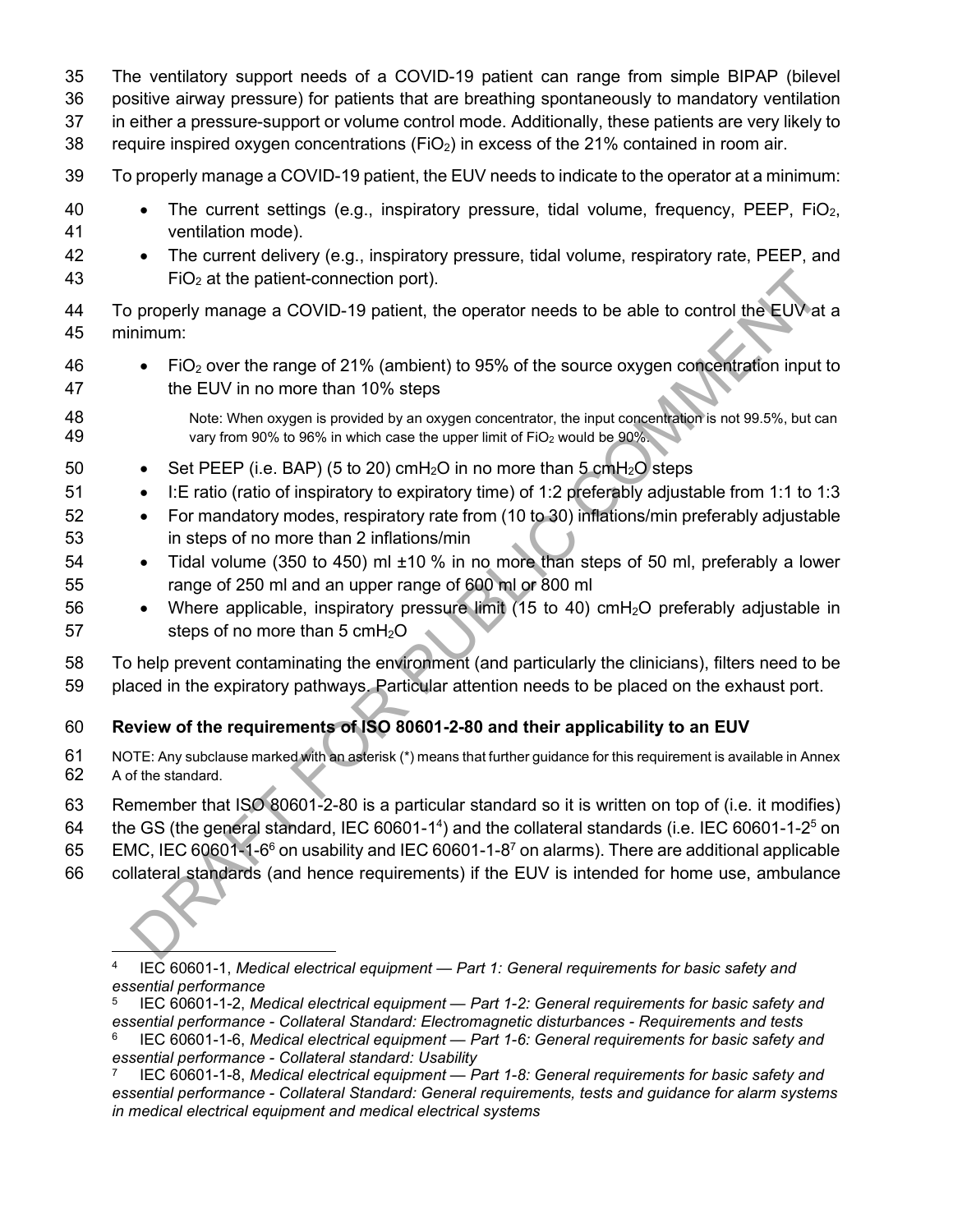- 35 The ventilatory support needs of a COVID-19 patient can range from simple BIPAP (bilevel
- 36 positive airway pressure) for patients that are breathing spontaneously to mandatory ventilation
- 37 in either a pressure-support or volume control mode. Additionally, these patients are very likely to
- 38 require inspired oxygen concentrations ( $FiO<sub>2</sub>$ ) in excess of the 21% contained in room air.
- 39 To properly manage a COVID-19 patient, the EUV needs to indicate to the operator at a minimum:
- 40 The current settings (e.g., inspiratory pressure, tidal volume, frequency, PEEP, FiO<sub>2</sub>, 41 ventilation mode).
- 42 The current delivery (e.g., inspiratory pressure, tidal volume, respiratory rate, PEEP, and 43  $FIO<sub>2</sub>$  at the patient-connection port).
- 44 To properly manage a COVID-19 patient, the operator needs to be able to control the EUV at a 45 minimum:
- 46  $\bullet$  FiO<sub>2</sub> over the range of 21% (ambient) to 95% of the source oxygen concentration input to 47 the EUV in no more than 10% steps
- 48 Note: When oxygen is provided by an oxygen concentrator, the input concentration is not 99.5%, but can<br>49 vary from 90% to 96% in which case the upper limit of FiO<sub>2</sub> would be 90%. vary from 90% to 96% in which case the upper limit of FiO<sub>2</sub> would be 90%.
- 50 Set PEEP (i.e. BAP) (5 to 20) cmH<sub>2</sub>O in no more than 5 cmH<sub>2</sub>O steps
- 51 I: E ratio (ratio of inspiratory to expiratory time) of 1:2 preferably adjustable from 1:1 to 1:3
- 52 For mandatory modes, respiratory rate from (10 to 30) inflations/min preferably adjustable 53 in steps of no more than 2 inflations/min
- 54 Tidal volume (350 to 450) ml ±10 % in no more than steps of 50 ml, preferably a lower 55 range of 250 ml and an upper range of 600 ml or 800 ml
- 56 Where applicable, inspiratory pressure limit (15 to 40) cmH<sub>2</sub>O preferably adjustable in 57 steps of no more than  $5 \text{ cm}H_2O$ FiO<sub>2</sub> at the patient-connection port).<br>
Impropriate a GOVID-19 patient, the operator needs to be able to control the EUV in numm:<br>
Impropriate a GOVID-19 patient, the operator needs to be able to control the EUV in numm:
- 58 To help prevent contaminating the environment (and particularly the clinicians), filters need to be
- 59 placed in the expiratory pathways. Particular attention needs to be placed on the exhaust port.

# 60 **Review of the requirements of ISO 80601-2-80 and their applicability to an EUV**

- 61 NOTE: Any subclause marked with an asterisk (\*) means that further guidance for this requirement is available in Annex 62 A of the standard.
- 63 Remember that ISO 80601-2-80 is a particular standard so it is written on top of (i.e. it modifies)
- 64 the GS (the general standard, IEC 60601-1<sup>4</sup>) and the collateral standards (i.e. IEC 60601-1-2<sup>5</sup> on
- 65 EMC, IEC 60601-1-6<sup>6</sup> on usability and IEC 60601-1-8<sup>7</sup> on alarms). There are additional applicable
- 66 collateral standards (and hence requirements) if the EUV is intended for home use, ambulance

5 IEC 60601-1-2, *Medical electrical equipment — Part 1-2: General requirements for basic safety and essential performance - Collateral Standard: Electromagnetic disturbances - Requirements and tests*

<sup>4</sup> IEC 60601-1, *Medical electrical equipment — Part 1: General requirements for basic safety and essential performance*

<sup>6</sup> IEC 60601-1-6, *Medical electrical equipment — Part 1-6: General requirements for basic safety and essential performance - Collateral standard: Usability*

<sup>7</sup> IEC 60601-1-8, *Medical electrical equipment — Part 1-8: General requirements for basic safety and essential performance - Collateral Standard: General requirements, tests and guidance for alarm systems in medical electrical equipment and medical electrical systems*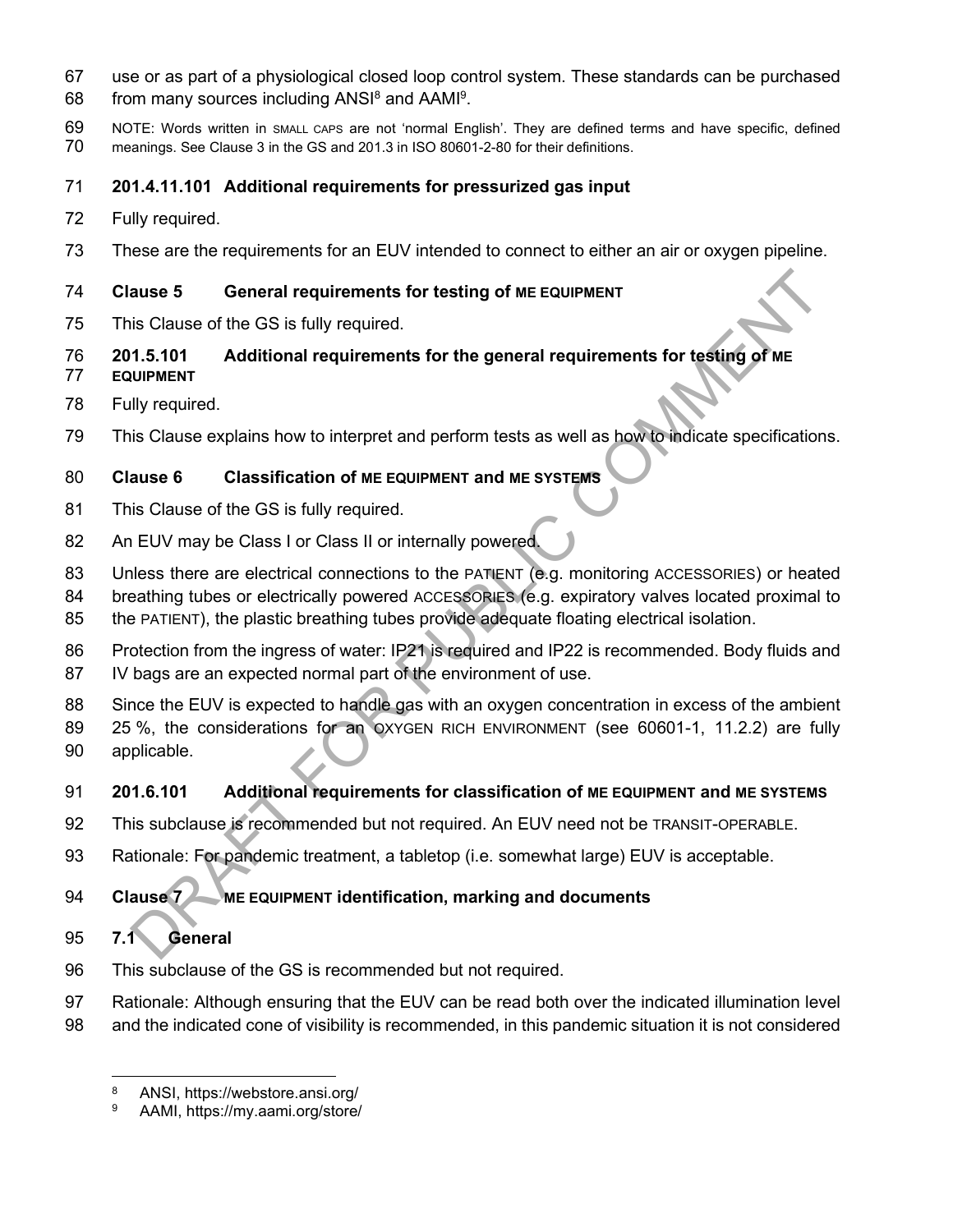- 67 use or as part of a physiological closed loop control system. These standards can be purchased
- 68 from many sources including  $ANSI<sup>8</sup>$  and  $AAMI<sup>9</sup>$ .
- 69 NOTE: Words written in SMALL CAPS are not 'normal English'. They are defined terms and have specific, defined 70 meanings. See Clause 3 in the GS and 201.3 in ISO 80601-2-80 for their definitions.
- 71 **201.4.11.101 Additional requirements for pressurized gas input**
- 72 Fully required.
- 73 These are the requirements for an EUV intended to connect to either an air or oxygen pipeline.

# 74 **Clause 5 General requirements for testing of ME EQUIPMENT**

- 75 This Clause of the GS is fully required.
- 76 **201.5.101 Additional requirements for the general requirements for testing of ME**
- 77 **EQUIPMENT**
- 78 Fully required.
- 79 This Clause explains how to interpret and perform tests as well as how to indicate specifications.

# 80 **Clause 6 Classification of ME EQUIPMENT and ME SYSTEMS**

- 81 This Clause of the GS is fully required.
- 82 An EUV may be Class I or Class II or internally powered.
- 83 Unless there are electrical connections to the PATIENT (e.g. monitoring ACCESSORIES) or heated
- 84 breathing tubes or electrically powered ACCESSORIES (e.g. expiratory valves located proximal to
- 85 the PATIENT), the plastic breathing tubes provide adequate floating electrical isolation.
- 86 Protection from the ingress of water: IP21 is required and IP22 is recommended. Body fluids and 87 IV bags are an expected normal part of the environment of use.
- 88 Since the EUV is expected to handle gas with an oxygen concentration in excess of the ambient 89 25 %, the considerations for an OXYGEN RICH ENVIRONMENT (see 60601-1, 11.2.2) are fully 90 applicable. ause 5 General requirements for testing of ME EQUIPMENT<br>
IS Clause of the GS is fully required.<br>
1.5.101 Additional requirements for the general requirements for testing of ME<br>
IIIV required.<br>
IIIS Clause explains how to i

# 91 **201.6.101 Additional requirements for classification of ME EQUIPMENT and ME SYSTEMS**

- 92 This subclause is recommended but not required. An EUV need not be TRANSIT-OPERABLE.
- 93 Rationale: For pandemic treatment, a tabletop (i.e. somewhat large) EUV is acceptable.

# 94 **Clause 7 ME EQUIPMENT identification, marking and documents**

# 95 **7.1 General**

- 96 This subclause of the GS is recommended but not required.
- 97 Rationale: Although ensuring that the EUV can be read both over the indicated illumination level
- 98 and the indicated cone of visibility is recommended, in this pandemic situation it is not considered

<sup>8</sup> ANSI, https://webstore.ansi.org/

<sup>9</sup> AAMI, https://my.aami.org/store/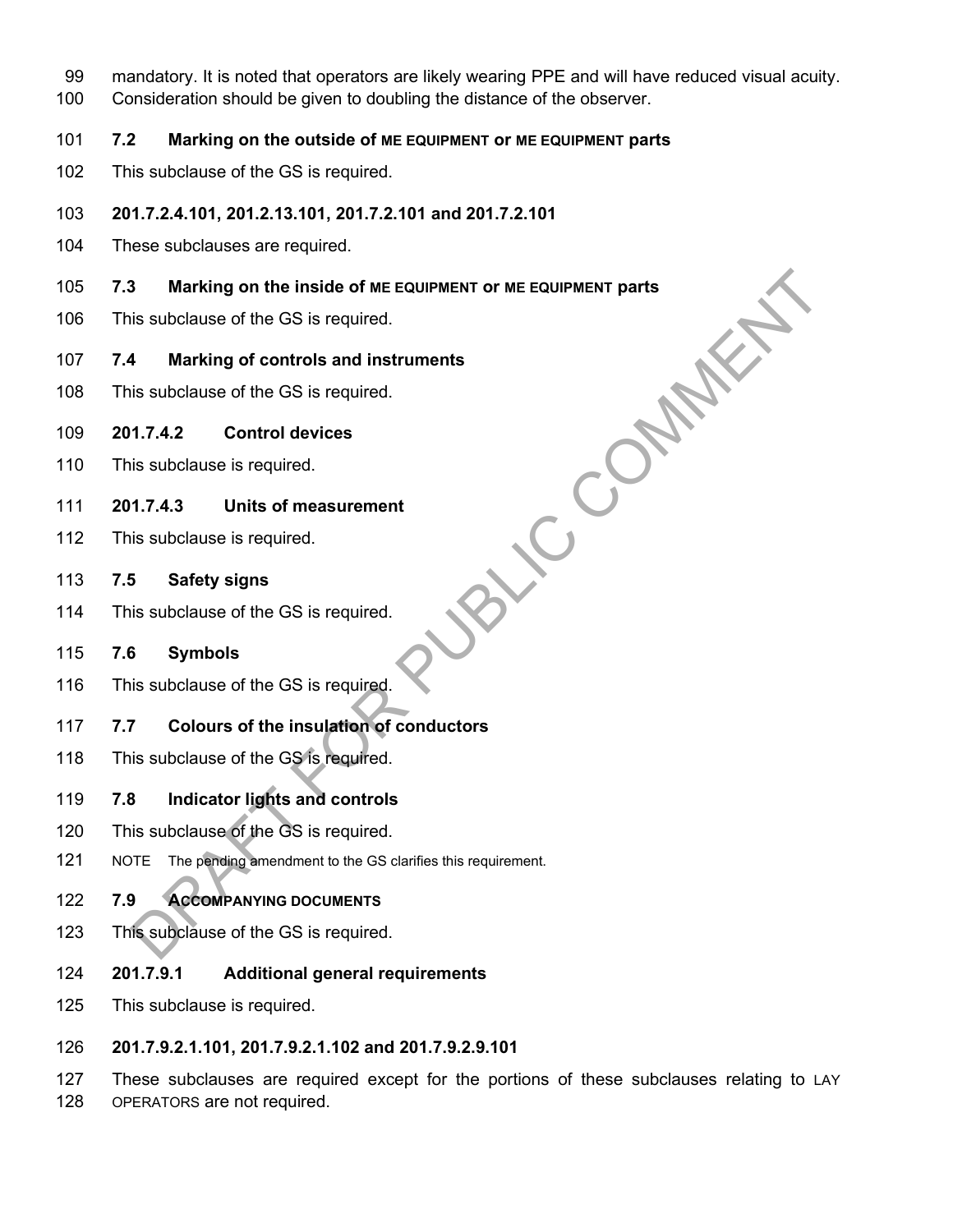- 99 mandatory. It is noted that operators are likely wearing PPE and will have reduced visual acuity.
- 100 Consideration should be given to doubling the distance of the observer.
- 101 **7.2 Marking on the outside of ME EQUIPMENT or ME EQUIPMENT parts**
- 102 This subclause of the GS is required.
- 103 **201.7.2.4.101, 201.2.13.101, 201.7.2.101 and 201.7.2.101**
- 104 These subclauses are required.
- 105 **7.3 Marking on the inside of ME EQUIPMENT or ME EQUIPMENT parts SBLIC COMMENT**
- 106 This subclause of the GS is required.
- 107 **7.4 Marking of controls and instruments**
- 108 This subclause of the GS is required.
- 109 **201.7.4.2 Control devices**
- 110 This subclause is required.
- 111 **201.7.4.3 Units of measurement**
- 112 This subclause is required.
- 113 **7.5 Safety signs**
- 114 This subclause of the GS is required.

# 115 **7.6 Symbols**

- 116 This subclause of the GS is required.
- 117 **7.7 Colours of the insulation of conductors**
- 118 This subclause of the GS is required.
- 119 **7.8 Indicator lights and controls**
- 120 This subclause of the GS is required.
- 121 NOTE The pending amendment to the GS clarifies this requirement.
- 122 **7.9 ACCOMPANYING DOCUMENTS**
- 123 This subclause of the GS is required.
- 124 **201.7.9.1 Additional general requirements**
- 125 This subclause is required.
- 126 **201.7.9.2.1.101, 201.7.9.2.1.102 and 201.7.9.2.9.101**
- 127 These subclauses are required except for the portions of these subclauses relating to LAY 128 OPERATORS are not required.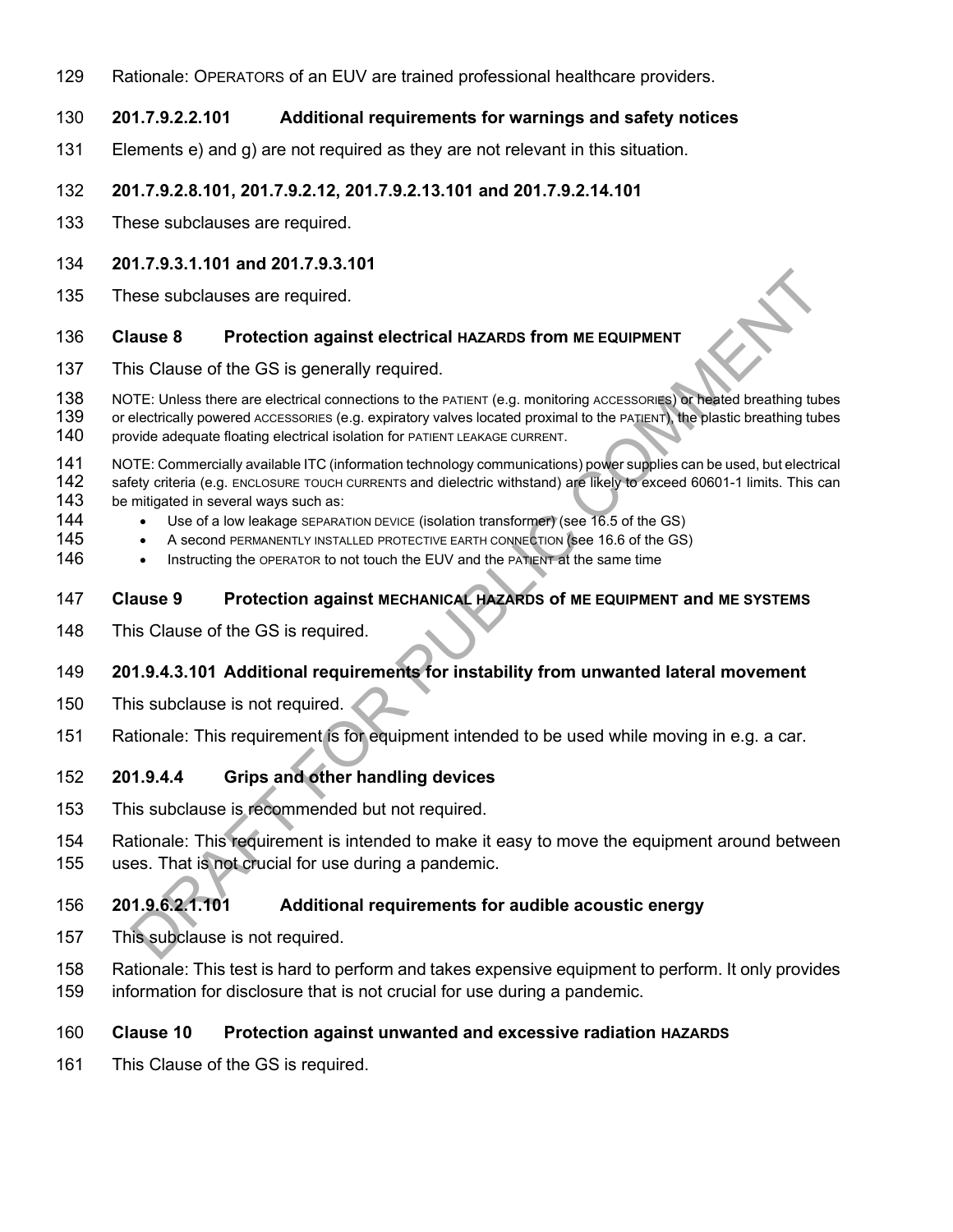129 Rationale: OPERATORS of an EUV are trained professional healthcare providers.

#### 130 **201.7.9.2.2.101 Additional requirements for warnings and safety notices**

131 Elements e) and g) are not required as they are not relevant in this situation.

#### 132 **201.7.9.2.8.101, 201.7.9.2.12, 201.7.9.2.13.101 and 201.7.9.2.14.101**

133 These subclauses are required.

#### 134 **201.7.9.3.1.101 and 201.7.9.3.101**

135 These subclauses are required.

#### 136 **Clause 8 Protection against electrical HAZARDS from ME EQUIPMENT**

137 This Clause of the GS is generally required.

138 NOTE: Unless there are electrical connections to the PATIENT (e.g. monitoring ACCESSORIES) or heated breathing tubes 139 or electrically powered ACCESSORIES (e.g. expiratory valves located proximal to the PATIENT), the plastic breathing tubes 140 provide adequate floating electrical isolation for PATIENT LEAKAGE CURRENT. Experimentation and the control of the control of the control of the control of the control of the control of the control of the control of the control of the control of the control of the control of the control of the con

provide adequate floating electrical isolation for PATIENT LEAKAGE CURRENT.

- 141 NOTE: Commercially available ITC (information technology communications) power supplies can be used, but electrical<br>142 safety criteria (e.g. ENCLOSURE TOUCH CURRENTS and dielectric withstand) are likely to exceed 6060 safety criteria (e.g. ENCLOSURE TOUCH CURRENTS and dielectric withstand) are likely to exceed 60601-1 limits. This can
- 143 be mitigated in several ways such as:
- 144 Use of a low leakage SEPARATION DEVICE (isolation transformer) (see 16.5 of the GS)
- 145 A second PERMANENTLY INSTALLED PROTECTIVE EARTH CONNECTION (see 16.6 of the GS)
- 146 Instructing the OPERATOR to not touch the EUV and the PATIENT at the same time

#### 147 **Clause 9 Protection against MECHANICAL HAZARDS of ME EQUIPMENT and ME SYSTEMS**

148 This Clause of the GS is required.

#### 149 **201.9.4.3.101 Additional requirements for instability from unwanted lateral movement**

- 150 This subclause is not required.
- 151 Rationale: This requirement is for equipment intended to be used while moving in e.g. a car.

#### 152 **201.9.4.4 Grips and other handling devices**

- 153 This subclause is recommended but not required.
- 154 Rationale: This requirement is intended to make it easy to move the equipment around between
- 155 uses. That is not crucial for use during a pandemic.

#### 156 **201.9.6.2.1.101 Additional requirements for audible acoustic energy**

- 157 This subclause is not required.
- 158 Rationale: This test is hard to perform and takes expensive equipment to perform. It only provides
- 159 information for disclosure that is not crucial for use during a pandemic.

#### 160 **Clause 10 Protection against unwanted and excessive radiation HAZARDS**

161 This Clause of the GS is required.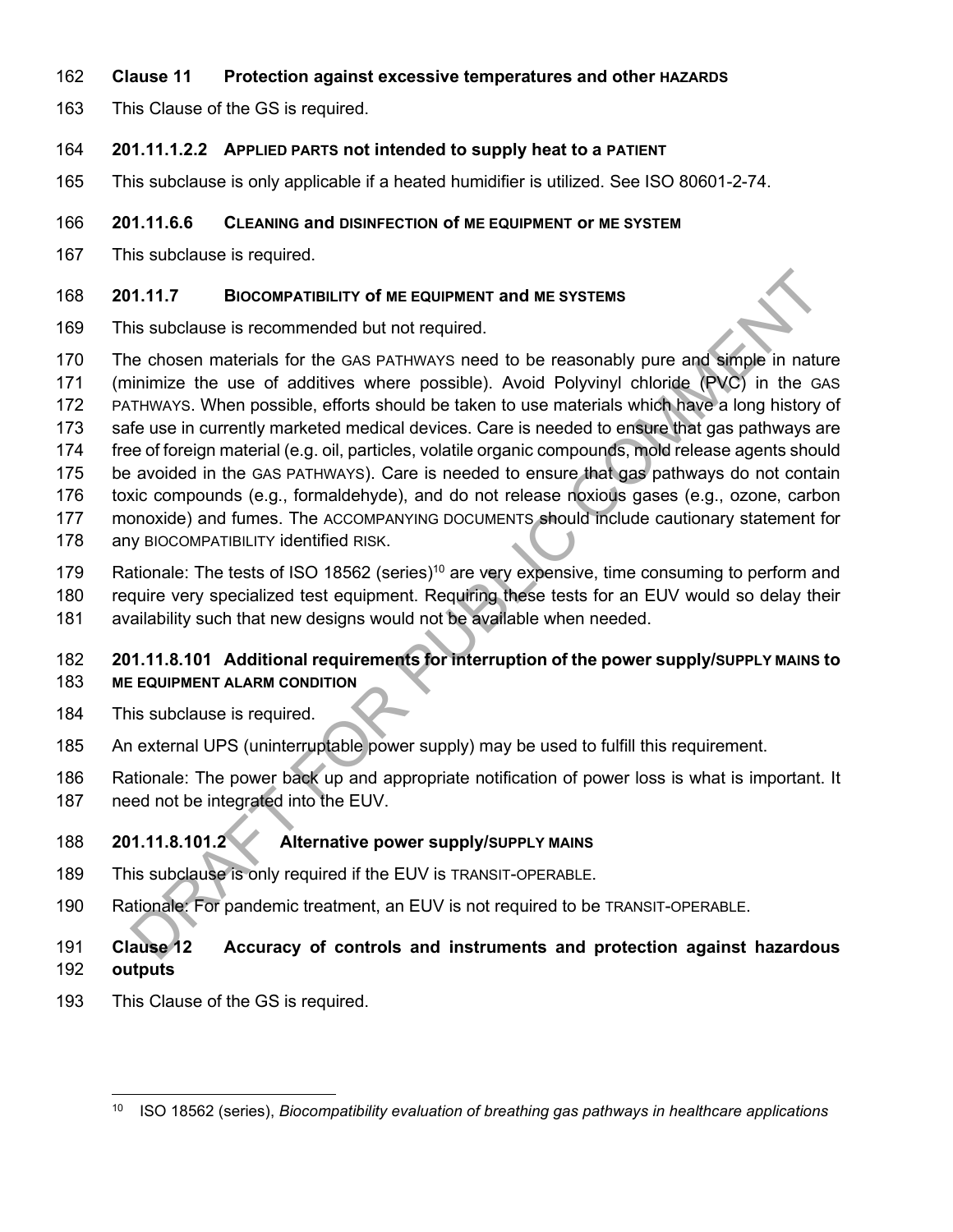#### 162 **Clause 11 Protection against excessive temperatures and other HAZARDS**

163 This Clause of the GS is required.

#### 164 **201.11.1.2.2 APPLIED PARTS not intended to supply heat to a PATIENT**

165 This subclause is only applicable if a heated humidifier is utilized. See ISO 80601-2-74.

#### 166 **201.11.6.6 CLEANING and DISINFECTION of ME EQUIPMENT or ME SYSTEM**

167 This subclause is required.

#### 168 **201.11.7 BIOCOMPATIBILITY of ME EQUIPMENT and ME SYSTEMS**

- 169 This subclause is recommended but not required.
- 170 The chosen materials for the GAS PATHWAYS need to be reasonably pure and simple in nature
- 171 (minimize the use of additives where possible). Avoid Polyvinyl chloride (PVC) in the GAS
- 172 PATHWAYS. When possible, efforts should be taken to use materials which have a long history of
- 173 safe use in currently marketed medical devices. Care is needed to ensure that gas pathways are
- 174 free of foreign material (e.g. oil, particles, volatile organic compounds, mold release agents should
- 175 be avoided in the GAS PATHWAYS). Care is needed to ensure that gas pathways do not contain
- 176 toxic compounds (e.g., formaldehyde), and do not release noxious gases (e.g., ozone, carbon
- 177 monoxide) and fumes. The ACCOMPANYING DOCUMENTS should include cautionary statement for
- 178 any BIOCOMPATIBILITY identified RISK.
- 179 Rationale: The tests of ISO 18562 (series)<sup>10</sup> are very expensive, time consuming to perform and
- 180 require very specialized test equipment. Requiring these tests for an EUV would so delay their
- 181 availability such that new designs would not be available when needed.

# 182 **201.11.8.101 Additional requirements for interruption of the power supply/SUPPLY MAINS to**  183 **ME EQUIPMENT ALARM CONDITION** 1.11.7 **BIOCOMPATIBILITY of ME EQUIPMENT and ME SYSTEMS**<br>is subclause is recommended but not required.<br>
is subclause is recommended but not required.<br>
in thimize the use of additives where possible, Arey DOM Polymyl choine

- 184 This subclause is required.
- 185 An external UPS (uninterruptable power supply) may be used to fulfill this requirement.
- 186 Rationale: The power back up and appropriate notification of power loss is what is important. It
- 187 need not be integrated into the EUV.

# 188 **201.11.8.101.2 Alternative power supply/SUPPLY MAINS**

- 189 This subclause is only required if the EUV is TRANSIT-OPERABLE.
- 190 Rationale: For pandemic treatment, an EUV is not required to be TRANSIT-OPERABLE.

# 191 **Clause 12 Accuracy of controls and instruments and protection against hazardous**  192 **outputs**

193 This Clause of the GS is required.

<sup>10</sup> ISO 18562 (series), *Biocompatibility evaluation of breathing gas pathways in healthcare applications*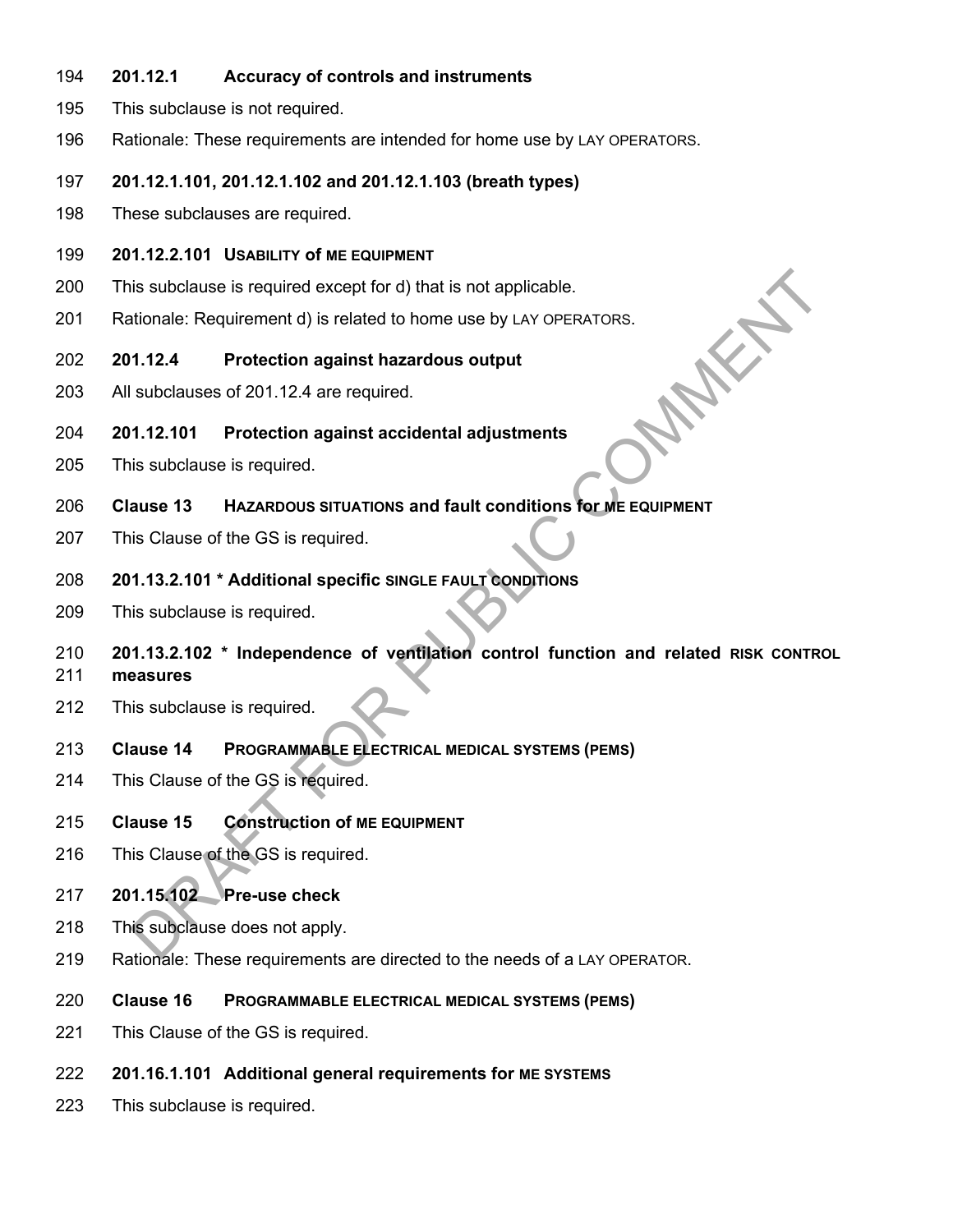- 194 **201.12.1 Accuracy of controls and instruments**
- 195 This subclause is not required.
- 196 Rationale: These requirements are intended for home use by LAY OPERATORS.

#### 197 **201.12.1.101, 201.12.1.102 and 201.12.1.103 (breath types)**

198 These subclauses are required.

#### 199 **201.12.2.101 USABILITY of ME EQUIPMENT**

- 200 This subclause is required except for d) that is not applicable.
- 201 Rationale: Requirement d) is related to home use by LAY OPERATORS.<br>202 201.12.4 Protection against hazardous output<br>203 All subclauses of 201.12.4 are required.<br>204 201.12.101

#### 202 **201.12.4 Protection against hazardous output**

203 All subclauses of 201.12.4 are required.

#### 204 **201.12.101 Protection against accidental adjustments**

- 205 This subclause is required.
- 206 **Clause 13 HAZARDOUS SITUATIONS and fault conditions for ME EQUIPMENT**
- 207 This Clause of the GS is required.

#### 208 **201.13.2.101 \* Additional specific SINGLE FAULT CONDITIONS**

209 This subclause is required.

# 210 **201.13.2.102 \* Independence of ventilation control function and related RISK CONTROL** 211 **measures**  Is subclause is required except for d) that is not applicable.<br>
Itionale: Requirement d) is related to home use by LAY OPERATORS.<br>
1.12.4 Protection against hazardous output<br>
Subclauses of 201.12.4 are required.<br>
1.12.101

212 This subclause is required.

#### 213 **Clause 14 PROGRAMMABLE ELECTRICAL MEDICAL SYSTEMS (PEMS)**

- 214 This Clause of the GS is required.
- 215 **Clause 15 Construction of ME EQUIPMENT**
- 216 This Clause of the GS is required.

#### 217 **201.15.102 Pre-use check**

- 218 This subclause does not apply.
- 219 Rationale: These requirements are directed to the needs of a LAY OPERATOR.
- 220 **Clause 16 PROGRAMMABLE ELECTRICAL MEDICAL SYSTEMS (PEMS)**
- 221 This Clause of the GS is required.
- 222 **201.16.1.101 Additional general requirements for ME SYSTEMS**
- 223 This subclause is required.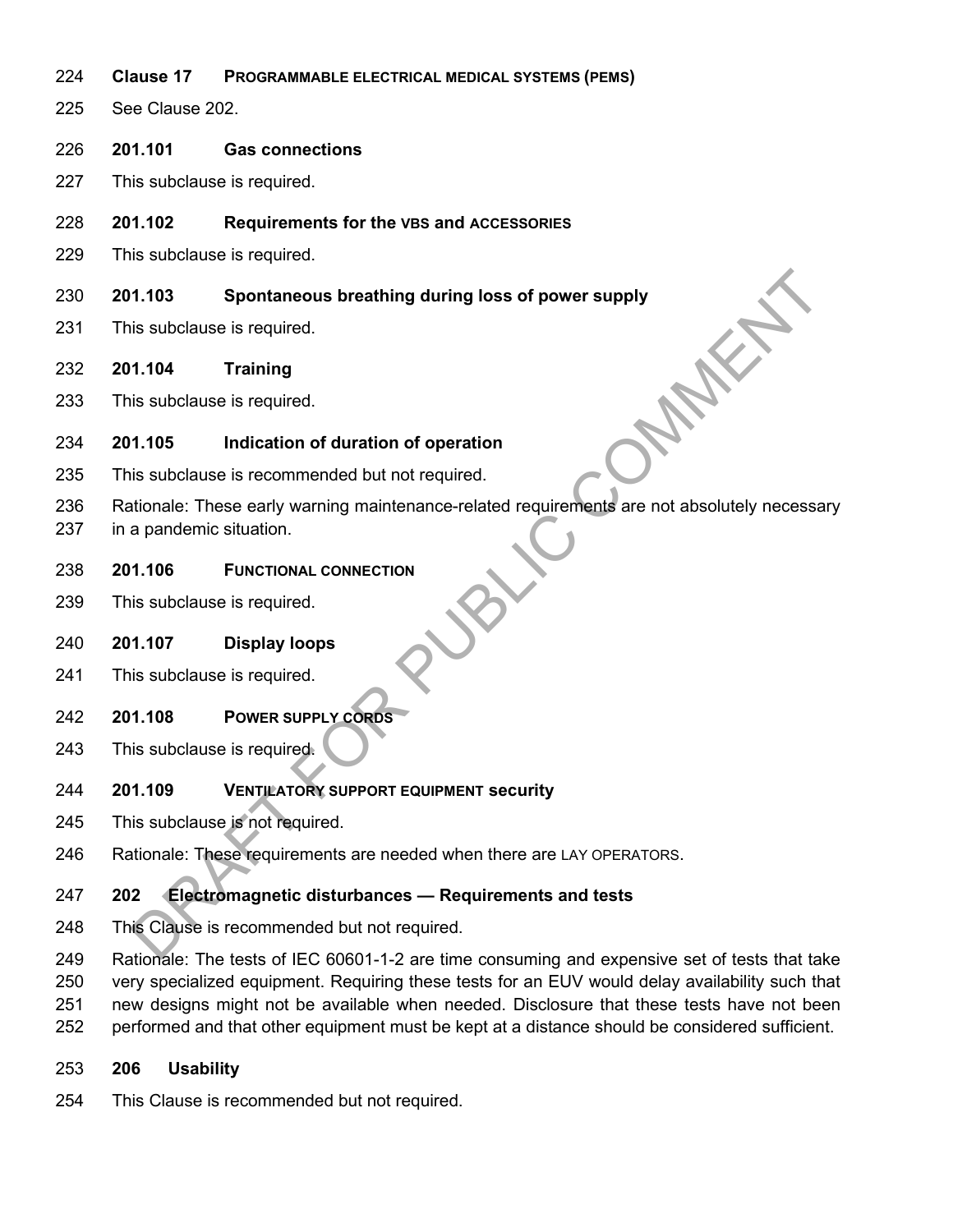- 224 **Clause 17 PROGRAMMABLE ELECTRICAL MEDICAL SYSTEMS (PEMS)**
- 225 See Clause 202.
- 226 **201.101 Gas connections**
- 227 This subclause is required.
- 228 **201.102 Requirements for the VBS and ACCESSORIES**
- 229 This subclause is required.
- 230 **201.103** Spontaneous breathing during loss of power supply<br>
231 This subclause is required.<br>
232 **201.104 Training**<br>
233 This subclause is required.<br>
234 **201.105**
- 231 This subclause is required.
- 232 **201.104 Training**
- 233 This subclause is required.

#### 234 **201.105 Indication of duration of operation**

- 235 This subclause is recommended but not required.
- 236 Rationale: These early warning maintenance-related requirements are not absolutely necessary 1.103 Spontaneous breathing during loss of power supply<br>
is subclause is required.<br>
1.104 Training<br>
is subclause is required.<br>
1.105 Indication of duration of operation<br>
is subclause is recommended but not required.<br>
2.1.1
- 237 in a pandemic situation.
- 238 **201.106 FUNCTIONAL CONNECTION**
- 239 This subclause is required.

#### 240 **201.107 Display loops**

- 241 This subclause is required.
- 242 **201.108 POWER SUPPLY CORDS**
- 243 This subclause is required.

#### 244 **201.109 VENTILATORY SUPPORT EQUIPMENT security**

- 245 This subclause is not required.
- 246 Rationale: These requirements are needed when there are LAY OPERATORS.

#### 247 **202 Electromagnetic disturbances — Requirements and tests**

- 248 This Clause is recommended but not required.
- 249 Rationale: The tests of IEC 60601-1-2 are time consuming and expensive set of tests that take
- 250 very specialized equipment. Requiring these tests for an EUV would delay availability such that
- 251 new designs might not be available when needed. Disclosure that these tests have not been
- 252 performed and that other equipment must be kept at a distance should be considered sufficient.

#### 253 **206 Usability**

254 This Clause is recommended but not required.